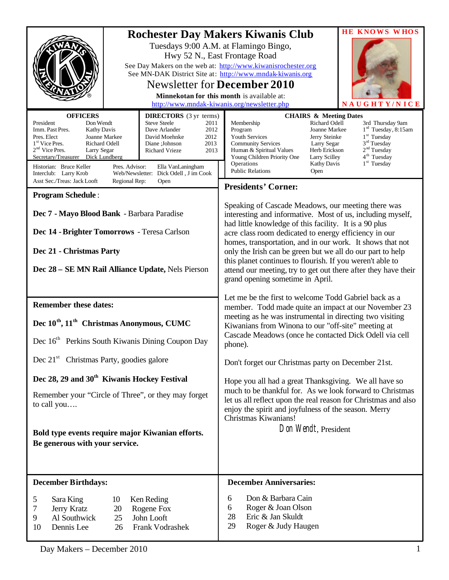|                                                                                                                                                                                                                                                                                                                                                                                                      |                                                                                                                                                                                                                                                  | <b>HE KNOWS WHOS</b>                                                                                                                                                                                                                                                                                                                                                                                                                                                                                                                                           |  |  |
|------------------------------------------------------------------------------------------------------------------------------------------------------------------------------------------------------------------------------------------------------------------------------------------------------------------------------------------------------------------------------------------------------|--------------------------------------------------------------------------------------------------------------------------------------------------------------------------------------------------------------------------------------------------|----------------------------------------------------------------------------------------------------------------------------------------------------------------------------------------------------------------------------------------------------------------------------------------------------------------------------------------------------------------------------------------------------------------------------------------------------------------------------------------------------------------------------------------------------------------|--|--|
| <b>Rochester Day Makers Kiwanis Club</b><br>Tuesdays 9:00 A.M. at Flamingo Bingo,<br>Hwy 52 N., East Frontage Road<br>See Day Makers on the web at: http://www.kiwanisrochester.org<br>See MN-DAK District Site at: http://www.mndak-kiwanis.org<br><b>Newsletter for December 2010</b><br>Minnekotan for this month is available at:<br>http://www.mndak-kiwanis.org/newsletter.php<br>NAUGHTY/NICE |                                                                                                                                                                                                                                                  |                                                                                                                                                                                                                                                                                                                                                                                                                                                                                                                                                                |  |  |
| <b>OFFICERS</b><br>President<br>Don Wendt<br>Imm. Past Pres.<br><b>Kathy Davis</b><br>Pres. Elect<br>Joanne Markee<br>1 <sup>st</sup> Vice Pres.<br>Richard Odell<br>$2nd$ Vice Pres.<br>Larry Segar<br>Secretary/Treasurer<br>Dick Lundberg<br>Historian: Bruce Keller<br>Pres. Advisor:<br>Interclub: Larry Krob<br>Asst Sec./Treas: Jack Looft<br>Regional Rep:                                   | <b>DIRECTORS</b> (3 yr terms)<br><b>Steve Steele</b><br>2011<br>2012<br>Dave Arlander<br>David Moehnke<br>2012<br>2013<br>Diane: Johnson<br><b>Richard Vrieze</b><br>2013<br>Ella VanLaningham<br>Web/Newsletter: Dick Odell . J im Cook<br>Open | <b>CHAIRS &amp; Meeting Dates</b><br>Membership<br>Richard Odell<br>3rd Thursday 9am<br>$1rd$ Tuesday, 8:15am<br>Program<br>Joanne Markee<br>$1st$ Tuesday<br><b>Youth Services</b><br>Jerry Steinke<br>3 <sup>rd</sup> Tuesday<br><b>Community Services</b><br>Larry Segar<br>2 <sup>nd</sup> Tuesday<br>Herb Erickson<br>Human & Spiritual Values<br>4 <sup>th</sup> Tuesday<br>Young Children Priority One<br>Larry Scilley<br>1 <sup>st</sup> Tuesday<br>Operations<br><b>Kathy Davis</b><br><b>Public Relations</b><br>Open<br><b>Presidents' Corner:</b> |  |  |
| <b>Program Schedule:</b>                                                                                                                                                                                                                                                                                                                                                                             |                                                                                                                                                                                                                                                  |                                                                                                                                                                                                                                                                                                                                                                                                                                                                                                                                                                |  |  |
| Dec 7 - Mayo Blood Bank - Barbara Paradise<br>Dec 14 - Brighter Tomorrows - Teresa Carlson<br>Dec 21 - Christmas Party<br>Dec 28 - SE MN Rail Alliance Update, Nels Pierson                                                                                                                                                                                                                          |                                                                                                                                                                                                                                                  | Speaking of Cascade Meadows, our meeting there was<br>interesting and informative. Most of us, including myself,<br>had little knowledge of this facility. It is a 90 plus<br>acre class room dedicated to energy efficiency in our<br>homes, transportation, and in our work. It shows that not<br>only the Irish can be green but we all do our part to help<br>this planet continues to flourish. If you weren't able to<br>attend our meeting, try to get out there after they have their<br>grand opening sometime in April.                              |  |  |
|                                                                                                                                                                                                                                                                                                                                                                                                      |                                                                                                                                                                                                                                                  | Let me be the first to welcome Todd Gabriel back as a                                                                                                                                                                                                                                                                                                                                                                                                                                                                                                          |  |  |
| <b>Remember these dates:</b><br>Dec 10 <sup>th</sup> , 11 <sup>th</sup> Christmas Anonymous, CUMC<br>Dec 16 <sup>th</sup> Perkins South Kiwanis Dining Coupon Day                                                                                                                                                                                                                                    |                                                                                                                                                                                                                                                  | member. Todd made quite an impact at our November 23<br>meeting as he was instrumental in directing two visiting<br>Kiwanians from Winona to our "off-site" meeting at<br>Cascade Meadows (once he contacted Dick Odell via cell<br>phone).                                                                                                                                                                                                                                                                                                                    |  |  |
| Dec $21st$ Christmas Party, goodies galore                                                                                                                                                                                                                                                                                                                                                           |                                                                                                                                                                                                                                                  | Don't forget our Christmas party on December 21st.                                                                                                                                                                                                                                                                                                                                                                                                                                                                                                             |  |  |
| Dec 28, 29 and 30 <sup>th</sup> Kiwanis Hockey Festival<br>Remember your "Circle of Three", or they may forget<br>to call you<br>Bold type events require major Kiwanian efforts.<br>Be generous with your service.                                                                                                                                                                                  |                                                                                                                                                                                                                                                  | Hope you all had a great Thanksgiving. We all have so<br>much to be thankful for. As we look forward to Christmas<br>let us all reflect upon the real reason for Christmas and also<br>enjoy the spirit and joyfulness of the season. Merry<br>Christmas Kiwanians!<br>Don Wendt, President                                                                                                                                                                                                                                                                    |  |  |
| <b>December Birthdays:</b>                                                                                                                                                                                                                                                                                                                                                                           |                                                                                                                                                                                                                                                  | <b>December Anniversaries:</b>                                                                                                                                                                                                                                                                                                                                                                                                                                                                                                                                 |  |  |
| Sara King<br>Ken Reding<br>5<br>10<br>Rogene Fox<br>Jerry Kratz<br>20<br>7<br>John Looft<br>9<br>Al Southwick<br>25<br>Frank Vodrashek<br>Dennis Lee<br>26<br>10                                                                                                                                                                                                                                     |                                                                                                                                                                                                                                                  | Don & Barbara Cain<br>6<br>Roger & Joan Olson<br>6<br>28<br>Eric & Jan Skuldt<br>Roger & Judy Haugen<br>29                                                                                                                                                                                                                                                                                                                                                                                                                                                     |  |  |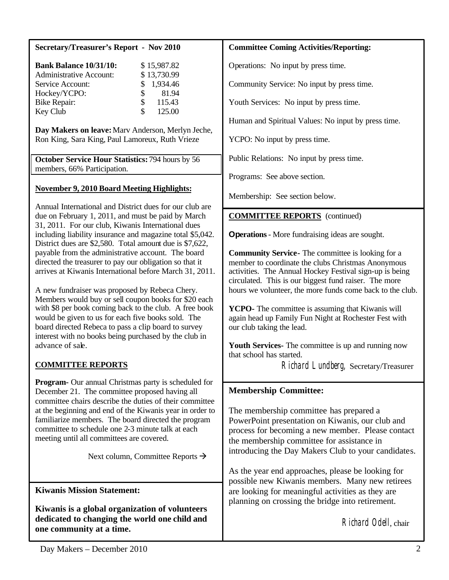| <b>Secretary/Treasurer's Report - Nov 2010</b> |  |  |
|------------------------------------------------|--|--|
|------------------------------------------------|--|--|

| <b>Bank Balance 10/31/10:</b>  |                | \$15,987.82 |
|--------------------------------|----------------|-------------|
| <b>Administrative Account:</b> |                | \$13,730.99 |
| Service Account:               |                | \$1,934.46  |
| Hockey/YCPO:                   | $\mathbb{S}$   | 81.94       |
| <b>Bike Repair:</b>            | $\mathbb{S}^-$ | 115.43      |
| Key Club                       | \$             | 125.00      |

**Day Makers on leave:**Marv Anderson, Merlyn Jeche, Ron King, Sara King, Paul Lamoreux, Ruth Vrieze

**October Service Hour Statistics:** 794 hours by 56 members, 66% Participation.

## **November 9, 2010 Board Meeting Highlights:**

Annual International and District dues for our club are due on February 1, 2011, and must be paid by March 31, 2011. For our club, Kiwanis International dues including liability insurance and magazine total \$5,042. District dues are \$2,580. Total amount due is \$7,622, payable from the administrative account. The board directed the treasurer to pay our obligation so that it arrives at Kiwanis International before March 31, 2011.

A new fundraiser was proposed by Rebeca Chery. Members would buy or sell coupon books for \$20 each with \$8 per book coming back to the club. A free book would be given to us for each five books sold. The board directed Rebeca to pass a clip board to survey interest with no books being purchased by the club in advance of sale.

# **COMMITTEE REPORTS**

**Program-** Our annual Christmas party is scheduled for December 21. The committee proposed having all committee chairs describe the duties of their committee at the beginning and end of the Kiwanis year in order to familiarize members. The board directed the program committee to schedule one 2-3 minute talk at each meeting until all committees are covered.

Next column, Committee Reports  $\rightarrow$ 

**Kiwanis Mission Statement:**

**Kiwanis is a global organization of volunteers dedicated to changing the world one child and one community at a time.**

#### **Committee Coming Activities/Reporting:**

Operations: No input by press time.

Community Service: No input by press time.

Youth Services: No input by press time.

Human and Spiritual Values: No input by press time.

YCPO: No input by press time.

Public Relations: No input by press time.

Programs: See above section.

Membership: See section below.

# **COMMITTEE REPORTS** (continued)

**Operations**- More fundraising ideas are sought.

**Community Service-** The committee is looking for a member to coordinate the clubs Christmas Anonymous activities. The Annual Hockey Festival sign-up is being circulated. This is our biggest fund raiser. The more hours we volunteer, the more funds come back to the club.

**YCPO-** The committee is assuming that Kiwanis will again head up Family Fun Night at Rochester Fest with our club taking the lead.

**Youth Services-** The committee is up and running now that school has started.

Richard Lundberg, Secretary/Treasurer

## **Membership Committee:**

The membership committee has prepared a PowerPoint presentation on Kiwanis, our club and process for becoming a new member. Please contact the membership committee for assistance in introducing the Day Makers Club to your candidates.

As the year end approaches, please be looking for possible new Kiwanis members. Many new retirees are looking for meaningful activities as they are planning on crossing the bridge into retirement.

Richard Odell, chair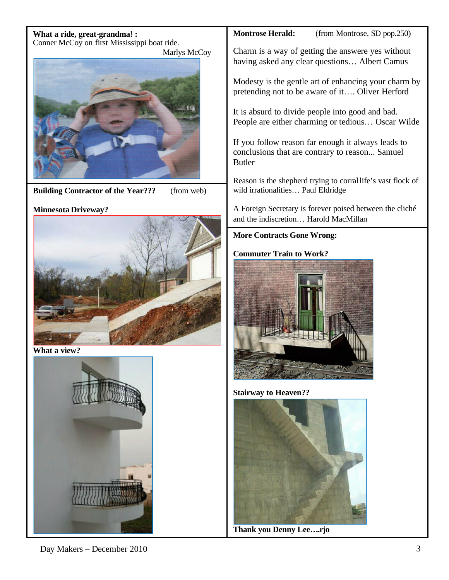| What a ride, great-grandma! :                                | <b>Montrose Herald:</b><br>(from Montrose, SD pop.250)                                                                |  |
|--------------------------------------------------------------|-----------------------------------------------------------------------------------------------------------------------|--|
| Conner McCoy on first Mississippi boat ride.<br>Marlys McCoy | Charm is a way of getting the answere yes without<br>having asked any clear questions Albert Camus                    |  |
|                                                              | Modesty is the gentle art of enhancing your charm by<br>pretending not to be aware of it Oliver Herford               |  |
|                                                              | It is absurd to divide people into good and bad.<br>People are either charming or tedious Oscar Wilde                 |  |
|                                                              | If you follow reason far enough it always leads to<br>conclusions that are contrary to reason Samuel<br><b>Butler</b> |  |
| (from web)<br><b>Building Contractor of the Year???</b>      | Reason is the shepherd trying to corral life's vast flock of<br>wild irrationalities Paul Eldridge                    |  |
| <b>Minnesota Driveway?</b>                                   | A Foreign Secretary is forever poised between the cliché<br>and the indiscretion Harold MacMillan                     |  |
|                                                              | <b>More Contracts Gone Wrong:</b>                                                                                     |  |
| What a view?                                                 | <b>Commuter Train to Work?</b>                                                                                        |  |
|                                                              | <b>Stairway to Heaven??</b>                                                                                           |  |

**Thank you Denny Lee….rjo**

Day Makers – December 2010 3